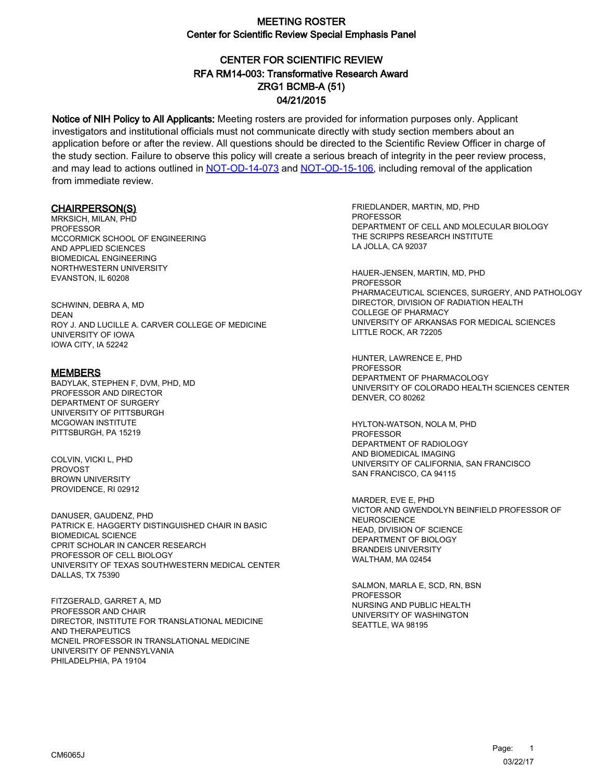# CENTER FOR SCIENTIFIC REVIEW ZRG1 BCMB-A (51) 04/21/2015 RFA RM14-003: Transformative Research Award

Notice of NIH Policy to All Applicants: Meeting rosters are provided for information purposes only. Applicant investigators and institutional officials must not communicate directly with study section members about an application before or after the review. All questions should be directed to the Scientific Review Officer in charge of the study section. Failure to observe this policy will create a serious breach of integrity in the peer review process, and may lead to actions outlined in [NOT-OD-14-073](https://grants.nih.gov/grants/guide/notice-files/NOT-OD-14-073.html) and [NOT-OD-15-106,](https://grants.nih.gov/grants/guide/notice-files/NOT-OD-15-106.html) including removal of the application from immediate review.

#### CHAIRPERSON(S)

MRKSICH, MILAN, PHD PROFESSOR MCCORMICK SCHOOL OF ENGINEERING AND APPLIED SCIENCES BIOMEDICAL ENGINEERING NORTHWESTERN UNIVERSITY EVANSTON, IL 60208

SCHWINN, DEBRA A, MD DEAN ROY J. AND LUCILLE A. CARVER COLLEGE OF MEDICINE UNIVERSITY OF IOWA IOWA CITY, IA 52242

#### **MEMBERS**

BADYLAK, STEPHEN F, DVM, PHD, MD PROFESSOR AND DIRECTOR DEPARTMENT OF SURGERY UNIVERSITY OF PITTSBURGH MCGOWAN INSTITUTE PITTSBURGH, PA 15219

COLVIN, VICKI L, PHD **PROVOST** BROWN UNIVERSITY PROVIDENCE, RI 02912

DANUSER, GAUDENZ, PHD PATRICK E. HAGGERTY DISTINGUISHED CHAIR IN BASIC BIOMEDICAL SCIENCE CPRIT SCHOLAR IN CANCER RESEARCH PROFESSOR OF CELL BIOLOGY UNIVERSITY OF TEXAS SOUTHWESTERN MEDICAL CENTER DALLAS, TX 75390

FITZGERALD, GARRET A, MD PROFESSOR AND CHAIR DIRECTOR, INSTITUTE FOR TRANSLATIONAL MEDICINE AND THERAPEUTICS MCNEIL PROFESSOR IN TRANSLATIONAL MEDICINE UNIVERSITY OF PENNSYLVANIA PHILADELPHIA, PA 19104

FRIEDLANDER, MARTIN, MD, PHD **PROFESSOR** DEPARTMENT OF CELL AND MOLECULAR BIOLOGY THE SCRIPPS RESEARCH INSTITUTE LA JOLLA, CA 92037

HAUER-JENSEN, MARTIN, MD, PHD PROFESSOR PHARMACEUTICAL SCIENCES, SURGERY, AND PATHOLOGY DIRECTOR, DIVISION OF RADIATION HEALTH COLLEGE OF PHARMACY UNIVERSITY OF ARKANSAS FOR MEDICAL SCIENCES LITTLE ROCK, AR 72205

HUNTER, LAWRENCE E, PHD **PROFESSOR** DEPARTMENT OF PHARMACOLOGY UNIVERSITY OF COLORADO HEALTH SCIENCES CENTER DENVER, CO 80262

HYLTON-WATSON, NOLA M, PHD PROFESSOR DEPARTMENT OF RADIOLOGY AND BIOMEDICAL IMAGING UNIVERSITY OF CALIFORNIA, SAN FRANCISCO SAN FRANCISCO, CA 94115

MARDER, EVE E, PHD VICTOR AND GWENDOLYN BEINFIELD PROFESSOR OF **NEUROSCIENCE** HEAD, DIVISION OF SCIENCE DEPARTMENT OF BIOLOGY BRANDEIS UNIVERSITY WALTHAM, MA 02454

SALMON, MARLA E, SCD, RN, BSN **PROFESSOR** NURSING AND PUBLIC HEALTH UNIVERSITY OF WASHINGTON SEATTLE, WA 98195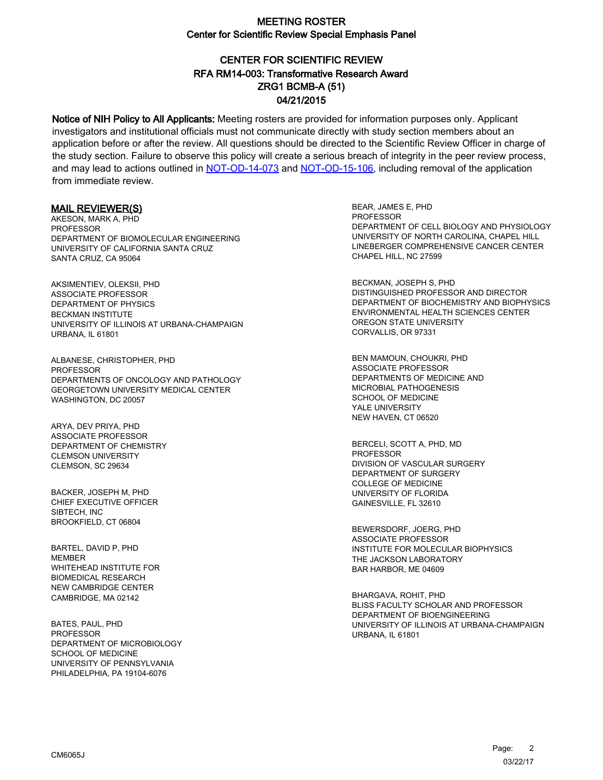## CENTER FOR SCIENTIFIC REVIEW ZRG1 BCMB-A (51) 04/21/2015 RFA RM14-003: Transformative Research Award

Notice of NIH Policy to All Applicants: Meeting rosters are provided for information purposes only. Applicant investigators and institutional officials must not communicate directly with study section members about an application before or after the review. All questions should be directed to the Scientific Review Officer in charge of the study section. Failure to observe this policy will create a serious breach of integrity in the peer review process, and may lead to actions outlined in [NOT-OD-14-073](https://grants.nih.gov/grants/guide/notice-files/NOT-OD-14-073.html) and [NOT-OD-15-106,](https://grants.nih.gov/grants/guide/notice-files/NOT-OD-15-106.html) including removal of the application from immediate review.

#### MAIL REVIEWER(S)

AKESON, MARK A, PHD PROFESSOR DEPARTMENT OF BIOMOLECULAR ENGINEERING UNIVERSITY OF CALIFORNIA SANTA CRUZ SANTA CRUZ, CA 95064

AKSIMENTIEV, OLEKSII, PHD ASSOCIATE PROFESSOR DEPARTMENT OF PHYSICS BECKMAN INSTITUTE UNIVERSITY OF ILLINOIS AT URBANA-CHAMPAIGN URBANA, IL 61801

ALBANESE, CHRISTOPHER, PHD **PROFESSOR** DEPARTMENTS OF ONCOLOGY AND PATHOLOGY GEORGETOWN UNIVERSITY MEDICAL CENTER WASHINGTON, DC 20057

ARYA, DEV PRIYA, PHD ASSOCIATE PROFESSOR DEPARTMENT OF CHEMISTRY CLEMSON UNIVERSITY CLEMSON, SC 29634

BACKER, JOSEPH M, PHD CHIEF EXECUTIVE OFFICER SIBTECH, INC BROOKFIELD, CT 06804

BARTEL, DAVID P, PHD MEMBER WHITEHEAD INSTITUTE FOR BIOMEDICAL RESEARCH NEW CAMBRIDGE CENTER CAMBRIDGE, MA 02142

BATES, PAUL, PHD PROFESSOR DEPARTMENT OF MICROBIOLOGY SCHOOL OF MEDICINE UNIVERSITY OF PENNSYLVANIA PHILADELPHIA, PA 19104-6076

BEAR, JAMES E, PHD **PROFESSOR** DEPARTMENT OF CELL BIOLOGY AND PHYSIOLOGY UNIVERSITY OF NORTH CAROLINA, CHAPEL HILL LINEBERGER COMPREHENSIVE CANCER CENTER CHAPEL HILL, NC 27599

BECKMAN, JOSEPH S, PHD DISTINGUISHED PROFESSOR AND DIRECTOR DEPARTMENT OF BIOCHEMISTRY AND BIOPHYSICS ENVIRONMENTAL HEALTH SCIENCES CENTER OREGON STATE UNIVERSITY CORVALLIS, OR 97331

BEN MAMOUN, CHOUKRI, PHD ASSOCIATE PROFESSOR DEPARTMENTS OF MEDICINE AND MICROBIAL PATHOGENESIS SCHOOL OF MEDICINE YALE UNIVERSITY NEW HAVEN, CT 06520

BERCELI, SCOTT A, PHD, MD PROFESSOR DIVISION OF VASCULAR SURGERY DEPARTMENT OF SURGERY COLLEGE OF MEDICINE UNIVERSITY OF FLORIDA GAINESVILLE, FL 32610

BEWERSDORF, JOERG, PHD ASSOCIATE PROFESSOR INSTITUTE FOR MOLECULAR BIOPHYSICS THE JACKSON LABORATORY BAR HARBOR, ME 04609

BHARGAVA, ROHIT, PHD BLISS FACULTY SCHOLAR AND PROFESSOR DEPARTMENT OF BIOENGINEERING UNIVERSITY OF ILLINOIS AT URBANA-CHAMPAIGN URBANA, IL 61801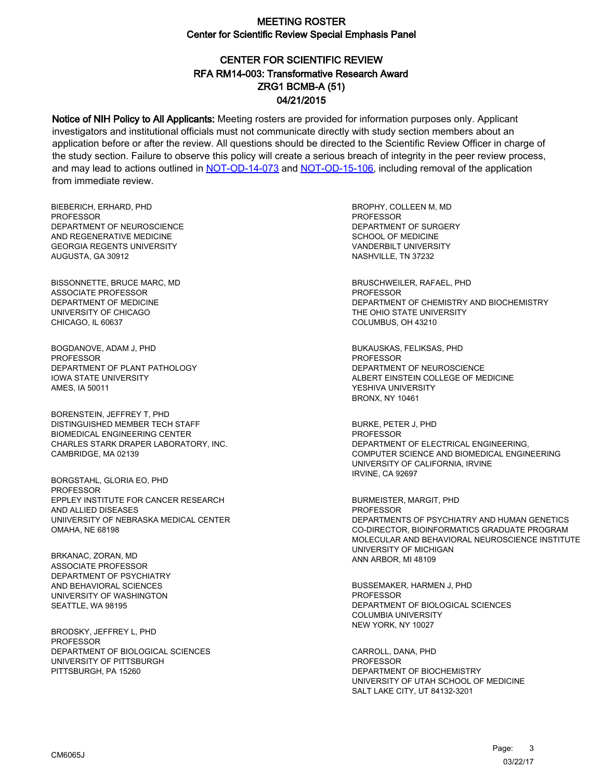# CENTER FOR SCIENTIFIC REVIEW ZRG1 BCMB-A (51) 04/21/2015 RFA RM14-003: Transformative Research Award

Notice of NIH Policy to All Applicants: Meeting rosters are provided for information purposes only. Applicant investigators and institutional officials must not communicate directly with study section members about an application before or after the review. All questions should be directed to the Scientific Review Officer in charge of the study section. Failure to observe this policy will create a serious breach of integrity in the peer review process, and may lead to actions outlined in [NOT-OD-14-073](https://grants.nih.gov/grants/guide/notice-files/NOT-OD-14-073.html) and [NOT-OD-15-106,](https://grants.nih.gov/grants/guide/notice-files/NOT-OD-15-106.html) including removal of the application from immediate review.

BIEBERICH, ERHARD, PHD **PROFESSOR** DEPARTMENT OF NEUROSCIENCE AND REGENERATIVE MEDICINE GEORGIA REGENTS UNIVERSITY AUGUSTA, GA 30912

BISSONNETTE, BRUCE MARC, MD ASSOCIATE PROFESSOR DEPARTMENT OF MEDICINE UNIVERSITY OF CHICAGO CHICAGO, IL 60637

BOGDANOVE, ADAM J, PHD PROFESSOR DEPARTMENT OF PLANT PATHOLOGY IOWA STATE UNIVERSITY AMES, IA 50011

BORENSTEIN, JEFFREY T, PHD DISTINGUISHED MEMBER TECH STAFF BIOMEDICAL ENGINEERING CENTER CHARLES STARK DRAPER LABORATORY, INC. CAMBRIDGE, MA 02139

BORGSTAHL, GLORIA EO, PHD PROFESSOR EPPLEY INSTITUTE FOR CANCER RESEARCH AND ALLIED DISEASES UNIIVERSITY OF NEBRASKA MEDICAL CENTER OMAHA, NE 68198

BRKANAC, ZORAN, MD ASSOCIATE PROFESSOR DEPARTMENT OF PSYCHIATRY AND BEHAVIORAL SCIENCES UNIVERSITY OF WASHINGTON SEATTLE, WA 98195

BRODSKY, JEFFREY L, PHD **PROFESSOR** DEPARTMENT OF BIOLOGICAL SCIENCES UNIVERSITY OF PITTSBURGH PITTSBURGH, PA 15260

BROPHY, COLLEEN M, MD **PROFESSOR** DEPARTMENT OF SURGERY SCHOOL OF MEDICINE VANDERBILT UNIVERSITY NASHVILLE, TN 37232

BRUSCHWEILER, RAFAEL, PHD PROFESSOR DEPARTMENT OF CHEMISTRY AND BIOCHEMISTRY THE OHIO STATE UNIVERSITY COLUMBUS, OH 43210

BUKAUSKAS, FELIKSAS, PHD PROFESSOR DEPARTMENT OF NEUROSCIENCE ALBERT EINSTEIN COLLEGE OF MEDICINE YESHIVA UNIVERSITY BRONX, NY 10461

BURKE, PETER J, PHD PROFESSOR DEPARTMENT OF ELECTRICAL ENGINEERING, COMPUTER SCIENCE AND BIOMEDICAL ENGINEERING UNIVERSITY OF CALIFORNIA, IRVINE IRVINE, CA 92697

BURMEISTER, MARGIT, PHD PROFESSOR DEPARTMENTS OF PSYCHIATRY AND HUMAN GENETICS CO-DIRECTOR, BIOINFORMATICS GRADUATE PROGRAM MOLECULAR AND BEHAVIORAL NEUROSCIENCE INSTITUTE UNIVERSITY OF MICHIGAN ANN ARBOR, MI 48109

BUSSEMAKER, HARMEN J, PHD **PROFESSOR** DEPARTMENT OF BIOLOGICAL SCIENCES COLUMBIA UNIVERSITY NEW YORK, NY 10027

CARROLL, DANA, PHD PROFESSOR DEPARTMENT OF BIOCHEMISTRY UNIVERSITY OF UTAH SCHOOL OF MEDICINE SALT LAKE CITY, UT 84132-3201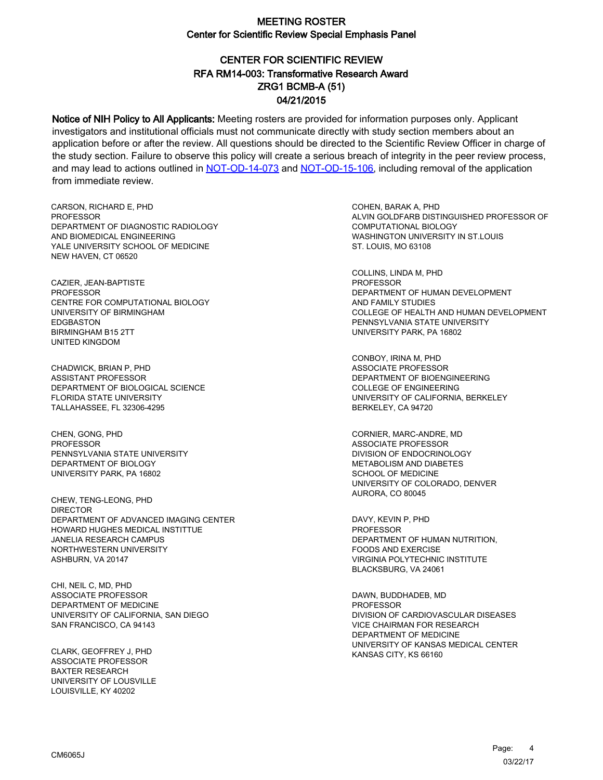# CENTER FOR SCIENTIFIC REVIEW ZRG1 BCMB-A (51) 04/21/2015 RFA RM14-003: Transformative Research Award

Notice of NIH Policy to All Applicants: Meeting rosters are provided for information purposes only. Applicant investigators and institutional officials must not communicate directly with study section members about an application before or after the review. All questions should be directed to the Scientific Review Officer in charge of the study section. Failure to observe this policy will create a serious breach of integrity in the peer review process, and may lead to actions outlined in [NOT-OD-14-073](https://grants.nih.gov/grants/guide/notice-files/NOT-OD-14-073.html) and [NOT-OD-15-106,](https://grants.nih.gov/grants/guide/notice-files/NOT-OD-15-106.html) including removal of the application from immediate review.

CARSON, RICHARD E, PHD **PROFESSOR** DEPARTMENT OF DIAGNOSTIC RADIOLOGY AND BIOMEDICAL ENGINEERING YALE UNIVERSITY SCHOOL OF MEDICINE NEW HAVEN, CT 06520

CAZIER, JEAN-BAPTISTE PROFESSOR CENTRE FOR COMPUTATIONAL BIOLOGY UNIVERSITY OF BIRMINGHAM EDGBASTON BIRMINGHAM B15 2TT UNITED KINGDOM

CHADWICK, BRIAN P, PHD ASSISTANT PROFESSOR DEPARTMENT OF BIOLOGICAL SCIENCE FLORIDA STATE UNIVERSITY TALLAHASSEE, FL 32306-4295

CHEN, GONG, PHD PROFESSOR PENNSYLVANIA STATE UNIVERSITY DEPARTMENT OF BIOLOGY UNIVERSITY PARK, PA 16802

CHEW, TENG-LEONG, PHD DIRECTOR DEPARTMENT OF ADVANCED IMAGING CENTER HOWARD HUGHES MEDICAL INSTITTUE JANELIA RESEARCH CAMPUS NORTHWESTERN UNIVERSITY ASHBURN, VA 20147

CHI, NEIL C, MD, PHD ASSOCIATE PROFESSOR DEPARTMENT OF MEDICINE UNIVERSITY OF CALIFORNIA, SAN DIEGO SAN FRANCISCO, CA 94143

CLARK, GEOFFREY J, PHD ASSOCIATE PROFESSOR BAXTER RESEARCH UNIVERSITY OF LOUSVILLE LOUISVILLE, KY 40202

COHEN, BARAK A, PHD ALVIN GOLDFARB DISTINGUISHED PROFESSOR OF COMPUTATIONAL BIOLOGY WASHINGTON UNIVERSITY IN ST.LOUIS ST. LOUIS, MO 63108

COLLINS, LINDA M, PHD PROFESSOR DEPARTMENT OF HUMAN DEVELOPMENT AND FAMILY STUDIES COLLEGE OF HEALTH AND HUMAN DEVELOPMENT PENNSYLVANIA STATE UNIVERSITY UNIVERSITY PARK, PA 16802

CONBOY, IRINA M, PHD ASSOCIATE PROFESSOR DEPARTMENT OF BIOENGINEERING COLLEGE OF ENGINEERING UNIVERSITY OF CALIFORNIA, BERKELEY BERKELEY, CA 94720

CORNIER, MARC-ANDRE, MD ASSOCIATE PROFESSOR DIVISION OF ENDOCRINOLOGY METABOLISM AND DIABETES SCHOOL OF MEDICINE UNIVERSITY OF COLORADO, DENVER AURORA, CO 80045

DAVY, KEVIN P, PHD PROFESSOR DEPARTMENT OF HUMAN NUTRITION, FOODS AND EXERCISE VIRGINIA POLYTECHNIC INSTITUTE BLACKSBURG, VA 24061

DAWN, BUDDHADEB, MD PROFESSOR DIVISION OF CARDIOVASCULAR DISEASES VICE CHAIRMAN FOR RESEARCH DEPARTMENT OF MEDICINE UNIVERSITY OF KANSAS MEDICAL CENTER KANSAS CITY, KS 66160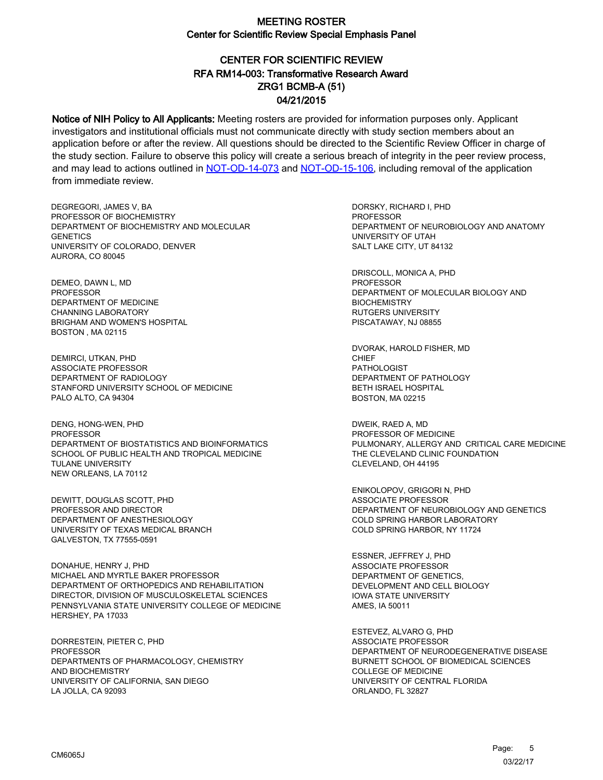# CENTER FOR SCIENTIFIC REVIEW ZRG1 BCMB-A (51) 04/21/2015 RFA RM14-003: Transformative Research Award

Notice of NIH Policy to All Applicants: Meeting rosters are provided for information purposes only. Applicant investigators and institutional officials must not communicate directly with study section members about an application before or after the review. All questions should be directed to the Scientific Review Officer in charge of the study section. Failure to observe this policy will create a serious breach of integrity in the peer review process, and may lead to actions outlined in [NOT-OD-14-073](https://grants.nih.gov/grants/guide/notice-files/NOT-OD-14-073.html) and [NOT-OD-15-106,](https://grants.nih.gov/grants/guide/notice-files/NOT-OD-15-106.html) including removal of the application from immediate review.

DEGREGORI, JAMES V, BA PROFESSOR OF BIOCHEMISTRY DEPARTMENT OF BIOCHEMISTRY AND MOLECULAR **GENETICS** UNIVERSITY OF COLORADO, DENVER AURORA, CO 80045

DEMEO, DAWN L, MD PROFESSOR DEPARTMENT OF MEDICINE CHANNING LABORATORY BRIGHAM AND WOMEN'S HOSPITAL BOSTON , MA 02115

DEMIRCI, UTKAN, PHD ASSOCIATE PROFESSOR DEPARTMENT OF RADIOLOGY STANFORD UNIVERSITY SCHOOL OF MEDICINE PALO ALTO, CA 94304

DENG, HONG-WEN, PHD **PROFESSOR** DEPARTMENT OF BIOSTATISTICS AND BIOINFORMATICS SCHOOL OF PUBLIC HEALTH AND TROPICAL MEDICINE TULANE UNIVERSITY NEW ORLEANS, LA 70112

DEWITT, DOUGLAS SCOTT, PHD PROFESSOR AND DIRECTOR DEPARTMENT OF ANESTHESIOLOGY UNIVERSITY OF TEXAS MEDICAL BRANCH GALVESTON, TX 77555-0591

DONAHUE, HENRY J, PHD MICHAEL AND MYRTLE BAKER PROFESSOR DEPARTMENT OF ORTHOPEDICS AND REHABILITATION DIRECTOR, DIVISION OF MUSCULOSKELETAL SCIENCES PENNSYLVANIA STATE UNIVERSITY COLLEGE OF MEDICINE HERSHEY, PA 17033

DORRESTEIN, PIETER C, PHD PROFESSOR DEPARTMENTS OF PHARMACOLOGY, CHEMISTRY AND BIOCHEMISTRY UNIVERSITY OF CALIFORNIA, SAN DIEGO LA JOLLA, CA 92093

DORSKY, RICHARD I, PHD **PROFESSOR** DEPARTMENT OF NEUROBIOLOGY AND ANATOMY UNIVERSITY OF UTAH SALT LAKE CITY, UT 84132

DRISCOLL, MONICA A, PHD PROFESSOR DEPARTMENT OF MOLECULAR BIOLOGY AND **BIOCHEMISTRY** RUTGERS UNIVERSITY PISCATAWAY, NJ 08855

DVORAK, HAROLD FISHER, MD CHIEF PATHOLOGIST DEPARTMENT OF PATHOLOGY BETH ISRAEL HOSPITAL BOSTON, MA 02215

DWEIK, RAED A, MD PROFESSOR OF MEDICINE PULMONARY, ALLERGY AND CRITICAL CARE MEDICINE THE CLEVELAND CLINIC FOUNDATION CLEVELAND, OH 44195

ENIKOLOPOV, GRIGORI N, PHD ASSOCIATE PROFESSOR DEPARTMENT OF NEUROBIOLOGY AND GENETICS COLD SPRING HARBOR LABORATORY COLD SPRING HARBOR, NY 11724

ESSNER, JEFFREY J, PHD ASSOCIATE PROFESSOR DEPARTMENT OF GENETICS, DEVELOPMENT AND CELL BIOLOGY IOWA STATE UNIVERSITY AMES, IA 50011

ESTEVEZ, ALVARO G, PHD ASSOCIATE PROFESSOR DEPARTMENT OF NEURODEGENERATIVE DISEASE BURNETT SCHOOL OF BIOMEDICAL SCIENCES COLLEGE OF MEDICINE UNIVERSITY OF CENTRAL FLORIDA ORLANDO, FL 32827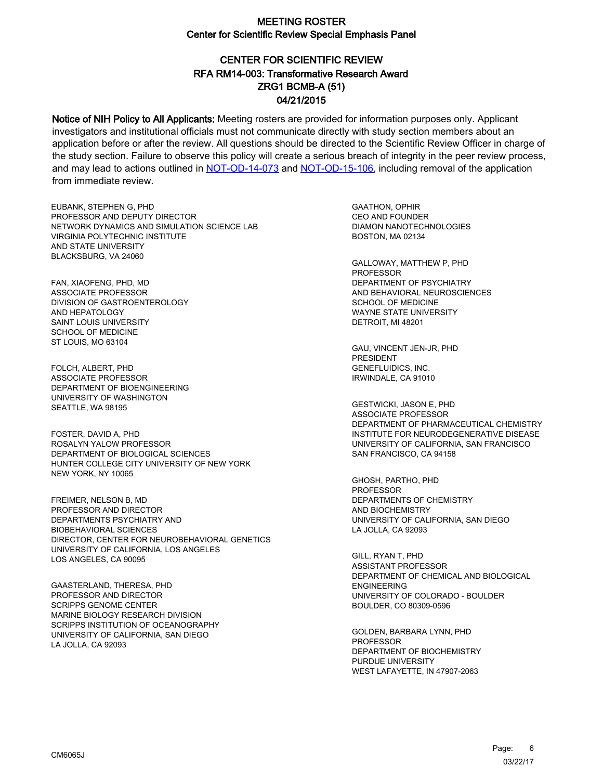# CENTER FOR SCIENTIFIC REVIEW ZRG1 BCMB-A (51) 04/21/2015 RFA RM14-003: Transformative Research Award

Notice of NIH Policy to All Applicants: Meeting rosters are provided for information purposes only. Applicant investigators and institutional officials must not communicate directly with study section members about an application before or after the review. All questions should be directed to the Scientific Review Officer in charge of the study section. Failure to observe this policy will create a serious breach of integrity in the peer review process, and may lead to actions outlined in [NOT-OD-14-073](https://grants.nih.gov/grants/guide/notice-files/NOT-OD-14-073.html) and [NOT-OD-15-106,](https://grants.nih.gov/grants/guide/notice-files/NOT-OD-15-106.html) including removal of the application from immediate review.

EUBANK, STEPHEN G, PHD PROFESSOR AND DEPUTY DIRECTOR NETWORK DYNAMICS AND SIMULATION SCIENCE LAB VIRGINIA POLYTECHNIC INSTITUTE AND STATE UNIVERSITY BLACKSBURG, VA 24060

FAN, XIAOFENG, PHD, MD ASSOCIATE PROFESSOR DIVISION OF GASTROENTEROLOGY AND HEPATOLOGY SAINT LOUIS UNIVERSITY SCHOOL OF MEDICINE ST LOUIS, MO 63104

FOLCH, ALBERT, PHD ASSOCIATE PROFESSOR DEPARTMENT OF BIOENGINEERING UNIVERSITY OF WASHINGTON SEATTLE, WA 98195

FOSTER, DAVID A, PHD ROSALYN YALOW PROFESSOR DEPARTMENT OF BIOLOGICAL SCIENCES HUNTER COLLEGE CITY UNIVERSITY OF NEW YORK NEW YORK, NY 10065

FREIMER, NELSON B, MD PROFESSOR AND DIRECTOR DEPARTMENTS PSYCHIATRY AND BIOBEHAVIORAL SCIENCES DIRECTOR, CENTER FOR NEUROBEHAVIORAL GENETICS UNIVERSITY OF CALIFORNIA, LOS ANGELES LOS ANGELES, CA 90095

GAASTERLAND, THERESA, PHD PROFESSOR AND DIRECTOR SCRIPPS GENOME CENTER MARINE BIOLOGY RESEARCH DIVISION SCRIPPS INSTITUTION OF OCEANOGRAPHY UNIVERSITY OF CALIFORNIA, SAN DIEGO LA JOLLA, CA 92093

GAATHON, OPHIR CEO AND FOUNDER DIAMON NANOTECHNOLOGIES BOSTON, MA 02134

GALLOWAY, MATTHEW P, PHD PROFESSOR DEPARTMENT OF PSYCHIATRY AND BEHAVIORAL NEUROSCIENCES SCHOOL OF MEDICINE WAYNE STATE UNIVERSITY DETROIT, MI 48201

GAU, VINCENT JEN-JR, PHD PRESIDENT GENEFLUIDICS, INC. IRWINDALE, CA 91010

GESTWICKI, JASON E, PHD ASSOCIATE PROFESSOR DEPARTMENT OF PHARMACEUTICAL CHEMISTRY INSTITUTE FOR NEURODEGENERATIVE DISEASE UNIVERSITY OF CALIFORNIA, SAN FRANCISCO SAN FRANCISCO, CA 94158

GHOSH, PARTHO, PHD PROFESSOR DEPARTMENTS OF CHEMISTRY AND BIOCHEMISTRY UNIVERSITY OF CALIFORNIA, SAN DIEGO LA JOLLA, CA 92093

GILL, RYAN T, PHD ASSISTANT PROFESSOR DEPARTMENT OF CHEMICAL AND BIOLOGICAL ENGINEERING UNIVERSITY OF COLORADO - BOULDER BOULDER, CO 80309-0596

GOLDEN, BARBARA LYNN, PHD PROFESSOR DEPARTMENT OF BIOCHEMISTRY PURDUE UNIVERSITY WEST LAFAYETTE, IN 47907-2063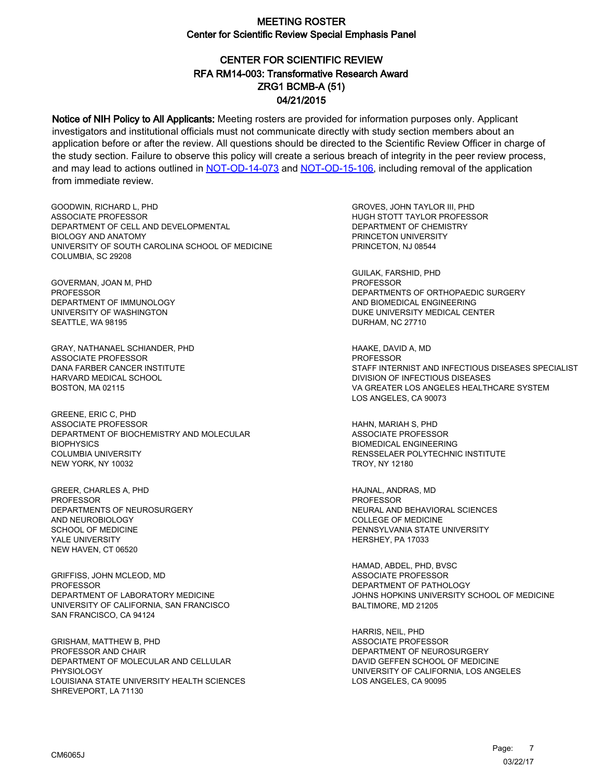# CENTER FOR SCIENTIFIC REVIEW ZRG1 BCMB-A (51) 04/21/2015 RFA RM14-003: Transformative Research Award

Notice of NIH Policy to All Applicants: Meeting rosters are provided for information purposes only. Applicant investigators and institutional officials must not communicate directly with study section members about an application before or after the review. All questions should be directed to the Scientific Review Officer in charge of the study section. Failure to observe this policy will create a serious breach of integrity in the peer review process, and may lead to actions outlined in [NOT-OD-14-073](https://grants.nih.gov/grants/guide/notice-files/NOT-OD-14-073.html) and [NOT-OD-15-106,](https://grants.nih.gov/grants/guide/notice-files/NOT-OD-15-106.html) including removal of the application from immediate review.

GOODWIN, RICHARD L, PHD ASSOCIATE PROFESSOR DEPARTMENT OF CELL AND DEVELOPMENTAL BIOLOGY AND ANATOMY UNIVERSITY OF SOUTH CAROLINA SCHOOL OF MEDICINE COLUMBIA, SC 29208

GOVERMAN, JOAN M, PHD PROFESSOR DEPARTMENT OF IMMUNOLOGY UNIVERSITY OF WASHINGTON SEATTLE, WA 98195

GRAY, NATHANAEL SCHIANDER, PHD ASSOCIATE PROFESSOR DANA FARBER CANCER INSTITUTE HARVARD MEDICAL SCHOOL BOSTON, MA 02115

GREENE, ERIC C, PHD ASSOCIATE PROFESSOR DEPARTMENT OF BIOCHEMISTRY AND MOLECULAR **BIOPHYSICS** COLUMBIA UNIVERSITY NEW YORK, NY 10032

GREER, CHARLES A, PHD PROFESSOR DEPARTMENTS OF NEUROSURGERY AND NEUROBIOLOGY SCHOOL OF MEDICINE YALE UNIVERSITY NEW HAVEN, CT 06520

GRIFFISS, JOHN MCLEOD, MD PROFESSOR DEPARTMENT OF LABORATORY MEDICINE UNIVERSITY OF CALIFORNIA, SAN FRANCISCO SAN FRANCISCO, CA 94124

GRISHAM, MATTHEW B, PHD PROFESSOR AND CHAIR DEPARTMENT OF MOLECULAR AND CELLULAR PHYSIOLOGY LOUISIANA STATE UNIVERSITY HEALTH SCIENCES SHREVEPORT, LA 71130

GROVES, JOHN TAYLOR III, PHD HUGH STOTT TAYLOR PROFESSOR DEPARTMENT OF CHEMISTRY PRINCETON UNIVERSITY PRINCETON, NJ 08544

GUILAK, FARSHID, PHD PROFESSOR DEPARTMENTS OF ORTHOPAEDIC SURGERY AND BIOMEDICAL ENGINEERING DUKE UNIVERSITY MEDICAL CENTER DURHAM, NC 27710

HAAKE, DAVID A, MD PROFESSOR STAFF INTERNIST AND INFECTIOUS DISEASES SPECIALIST DIVISION OF INFECTIOUS DISEASES VA GREATER LOS ANGELES HEALTHCARE SYSTEM LOS ANGELES, CA 90073

HAHN, MARIAH S, PHD ASSOCIATE PROFESSOR BIOMEDICAL ENGINEERING RENSSELAER POLYTECHNIC INSTITUTE TROY, NY 12180

HAJNAL, ANDRAS, MD PROFESSOR NEURAL AND BEHAVIORAL SCIENCES COLLEGE OF MEDICINE PENNSYLVANIA STATE UNIVERSITY HERSHEY, PA 17033

HAMAD, ABDEL, PHD, BVSC ASSOCIATE PROFESSOR DEPARTMENT OF PATHOLOGY JOHNS HOPKINS UNIVERSITY SCHOOL OF MEDICINE BALTIMORE, MD 21205

HARRIS, NEIL, PHD ASSOCIATE PROFESSOR DEPARTMENT OF NEUROSURGERY DAVID GEFFEN SCHOOL OF MEDICINE UNIVERSITY OF CALIFORNIA, LOS ANGELES LOS ANGELES, CA 90095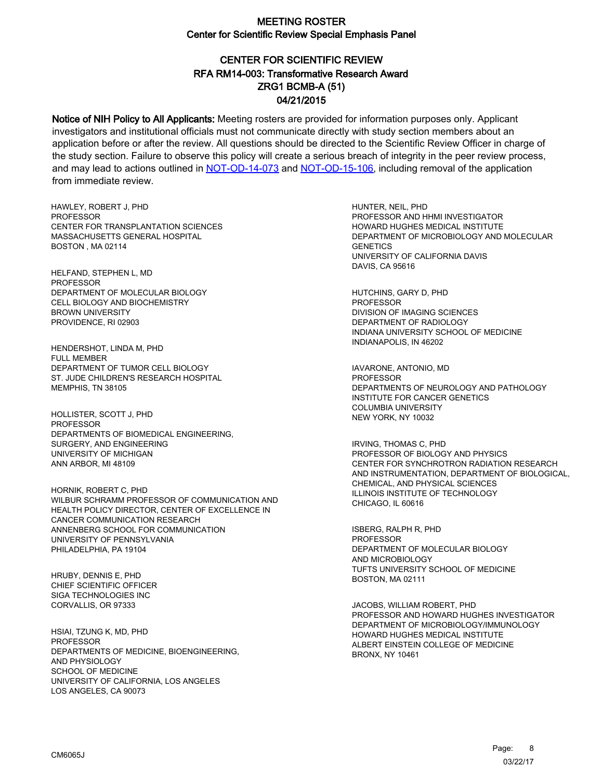# CENTER FOR SCIENTIFIC REVIEW ZRG1 BCMB-A (51) 04/21/2015 RFA RM14-003: Transformative Research Award

Notice of NIH Policy to All Applicants: Meeting rosters are provided for information purposes only. Applicant investigators and institutional officials must not communicate directly with study section members about an application before or after the review. All questions should be directed to the Scientific Review Officer in charge of the study section. Failure to observe this policy will create a serious breach of integrity in the peer review process, and may lead to actions outlined in [NOT-OD-14-073](https://grants.nih.gov/grants/guide/notice-files/NOT-OD-14-073.html) and [NOT-OD-15-106,](https://grants.nih.gov/grants/guide/notice-files/NOT-OD-15-106.html) including removal of the application from immediate review.

HAWLEY, ROBERT J, PHD **PROFESSOR** CENTER FOR TRANSPLANTATION SCIENCES MASSACHUSETTS GENERAL HOSPITAL BOSTON , MA 02114

HELFAND, STEPHEN L, MD PROFESSOR DEPARTMENT OF MOLECULAR BIOLOGY CELL BIOLOGY AND BIOCHEMISTRY BROWN UNIVERSITY PROVIDENCE, RI 02903

HENDERSHOT, LINDA M, PHD FULL MEMBER DEPARTMENT OF TUMOR CELL BIOLOGY ST. JUDE CHILDREN'S RESEARCH HOSPITAL MEMPHIS, TN 38105

HOLLISTER, SCOTT J, PHD PROFESSOR DEPARTMENTS OF BIOMEDICAL ENGINEERING, SURGERY, AND ENGINEERING UNIVERSITY OF MICHIGAN ANN ARBOR, MI 48109

HORNIK, ROBERT C, PHD WILBUR SCHRAMM PROFESSOR OF COMMUNICATION AND HEALTH POLICY DIRECTOR, CENTER OF EXCELLENCE IN CANCER COMMUNICATION RESEARCH ANNENBERG SCHOOL FOR COMMUNICATION UNIVERSITY OF PENNSYLVANIA PHILADELPHIA, PA 19104

HRUBY, DENNIS E, PHD CHIEF SCIENTIFIC OFFICER SIGA TECHNOLOGIES INC CORVALLIS, OR 97333

HSIAI, TZUNG K, MD, PHD **PROFESSOR** DEPARTMENTS OF MEDICINE, BIOENGINEERING, AND PHYSIOLOGY SCHOOL OF MEDICINE UNIVERSITY OF CALIFORNIA, LOS ANGELES LOS ANGELES, CA 90073

HUNTER, NEIL, PHD PROFESSOR AND HHMI INVESTIGATOR HOWARD HUGHES MEDICAL INSTITUTE DEPARTMENT OF MICROBIOLOGY AND MOLECULAR **GENETICS** UNIVERSITY OF CALIFORNIA DAVIS DAVIS, CA 95616

HUTCHINS, GARY D, PHD PROFESSOR DIVISION OF IMAGING SCIENCES DEPARTMENT OF RADIOLOGY INDIANA UNIVERSITY SCHOOL OF MEDICINE INDIANAPOLIS, IN 46202

IAVARONE, ANTONIO, MD **PROFESSOR** DEPARTMENTS OF NEUROLOGY AND PATHOLOGY INSTITUTE FOR CANCER GENETICS COLUMBIA UNIVERSITY NEW YORK, NY 10032

IRVING, THOMAS C, PHD PROFESSOR OF BIOLOGY AND PHYSICS CENTER FOR SYNCHROTRON RADIATION RESEARCH AND INSTRUMENTATION, DEPARTMENT OF BIOLOGICAL, CHEMICAL, AND PHYSICAL SCIENCES ILLINOIS INSTITUTE OF TECHNOLOGY CHICAGO, IL 60616

ISBERG, RALPH R, PHD PROFESSOR DEPARTMENT OF MOLECULAR BIOLOGY AND MICROBIOLOGY TUFTS UNIVERSITY SCHOOL OF MEDICINE BOSTON, MA 02111

JACOBS, WILLIAM ROBERT, PHD PROFESSOR AND HOWARD HUGHES INVESTIGATOR DEPARTMENT OF MICROBIOLOGY/IMMUNOLOGY HOWARD HUGHES MEDICAL INSTITUTE ALBERT EINSTEIN COLLEGE OF MEDICINE BRONX, NY 10461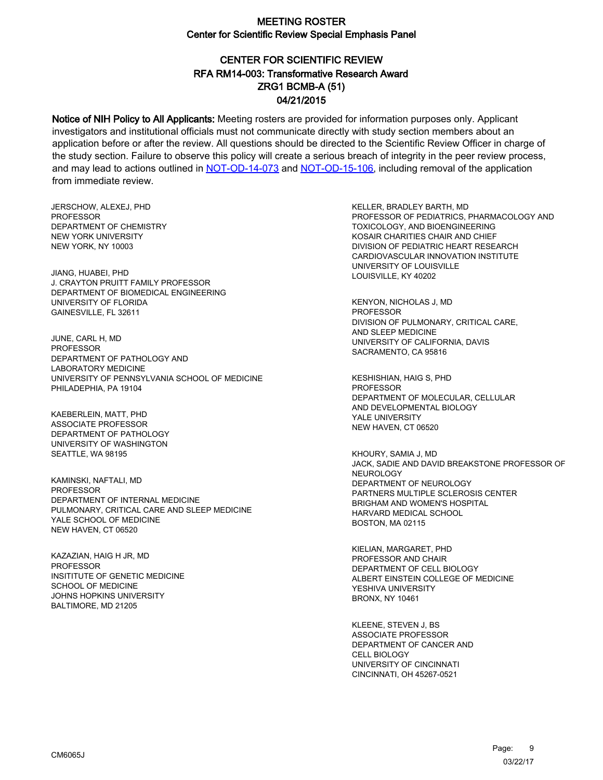# CENTER FOR SCIENTIFIC REVIEW ZRG1 BCMB-A (51) 04/21/2015 RFA RM14-003: Transformative Research Award

Notice of NIH Policy to All Applicants: Meeting rosters are provided for information purposes only. Applicant investigators and institutional officials must not communicate directly with study section members about an application before or after the review. All questions should be directed to the Scientific Review Officer in charge of the study section. Failure to observe this policy will create a serious breach of integrity in the peer review process, and may lead to actions outlined in [NOT-OD-14-073](https://grants.nih.gov/grants/guide/notice-files/NOT-OD-14-073.html) and [NOT-OD-15-106,](https://grants.nih.gov/grants/guide/notice-files/NOT-OD-15-106.html) including removal of the application from immediate review.

JERSCHOW, ALEXEJ, PHD **PROFESSOR** DEPARTMENT OF CHEMISTRY NEW YORK UNIVERSITY NEW YORK, NY 10003

JIANG, HUABEI, PHD J. CRAYTON PRUITT FAMILY PROFESSOR DEPARTMENT OF BIOMEDICAL ENGINEERING UNIVERSITY OF FLORIDA GAINESVILLE, FL 32611

JUNE, CARL H, MD PROFESSOR DEPARTMENT OF PATHOLOGY AND LABORATORY MEDICINE UNIVERSITY OF PENNSYLVANIA SCHOOL OF MEDICINE PHILADEPHIA, PA 19104

KAEBERLEIN, MATT, PHD ASSOCIATE PROFESSOR DEPARTMENT OF PATHOLOGY UNIVERSITY OF WASHINGTON SEATTLE, WA 98195

KAMINSKI, NAFTALI, MD PROFESSOR DEPARTMENT OF INTERNAL MEDICINE PULMONARY, CRITICAL CARE AND SLEEP MEDICINE YALE SCHOOL OF MEDICINE NEW HAVEN, CT 06520

KAZAZIAN, HAIG H JR, MD **PROFESSOR** INSITITUTE OF GENETIC MEDICINE SCHOOL OF MEDICINE JOHNS HOPKINS UNIVERSITY BALTIMORE, MD 21205

KELLER, BRADLEY BARTH, MD PROFESSOR OF PEDIATRICS, PHARMACOLOGY AND TOXICOLOGY, AND BIOENGINEERING KOSAIR CHARITIES CHAIR AND CHIEF DIVISION OF PEDIATRIC HEART RESEARCH CARDIOVASCULAR INNOVATION INSTITUTE UNIVERSITY OF LOUISVILLE LOUISVILLE, KY 40202

KENYON, NICHOLAS J, MD PROFESSOR DIVISION OF PULMONARY, CRITICAL CARE, AND SLEEP MEDICINE UNIVERSITY OF CALIFORNIA, DAVIS SACRAMENTO, CA 95816

KESHISHIAN, HAIG S, PHD PROFESSOR DEPARTMENT OF MOLECULAR, CELLULAR AND DEVELOPMENTAL BIOLOGY YALE UNIVERSITY NEW HAVEN, CT 06520

KHOURY, SAMIA J, MD JACK, SADIE AND DAVID BREAKSTONE PROFESSOR OF **NEUROLOGY** DEPARTMENT OF NEUROLOGY PARTNERS MULTIPLE SCLEROSIS CENTER BRIGHAM AND WOMEN'S HOSPITAL HARVARD MEDICAL SCHOOL BOSTON, MA 02115

KIELIAN, MARGARET, PHD PROFESSOR AND CHAIR DEPARTMENT OF CELL BIOLOGY ALBERT EINSTEIN COLLEGE OF MEDICINE YESHIVA UNIVERSITY BRONX, NY 10461

KLEENE, STEVEN J, BS ASSOCIATE PROFESSOR DEPARTMENT OF CANCER AND CELL BIOLOGY UNIVERSITY OF CINCINNATI CINCINNATI, OH 45267-0521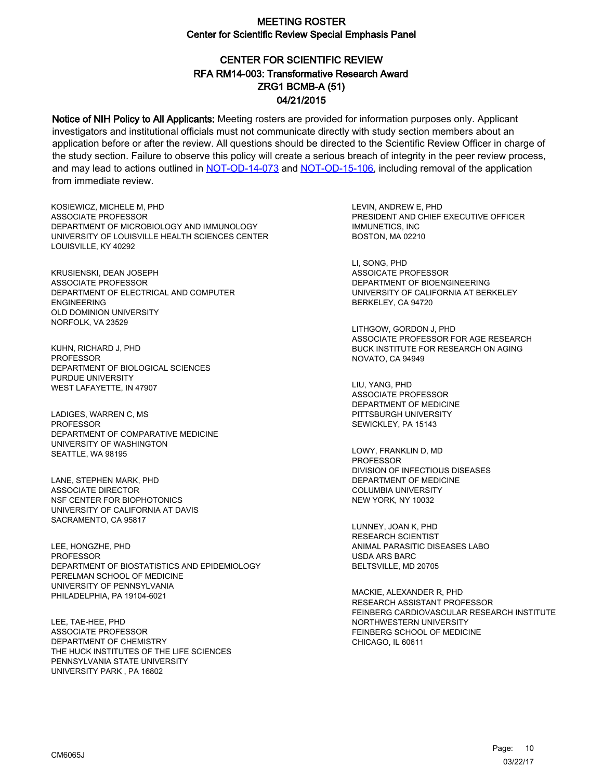# CENTER FOR SCIENTIFIC REVIEW ZRG1 BCMB-A (51) 04/21/2015 RFA RM14-003: Transformative Research Award

Notice of NIH Policy to All Applicants: Meeting rosters are provided for information purposes only. Applicant investigators and institutional officials must not communicate directly with study section members about an application before or after the review. All questions should be directed to the Scientific Review Officer in charge of the study section. Failure to observe this policy will create a serious breach of integrity in the peer review process, and may lead to actions outlined in [NOT-OD-14-073](https://grants.nih.gov/grants/guide/notice-files/NOT-OD-14-073.html) and [NOT-OD-15-106,](https://grants.nih.gov/grants/guide/notice-files/NOT-OD-15-106.html) including removal of the application from immediate review.

KOSIEWICZ, MICHELE M, PHD ASSOCIATE PROFESSOR DEPARTMENT OF MICROBIOLOGY AND IMMUNOLOGY UNIVERSITY OF LOUISVILLE HEALTH SCIENCES CENTER LOUISVILLE, KY 40292

KRUSIENSKI, DEAN JOSEPH ASSOCIATE PROFESSOR DEPARTMENT OF ELECTRICAL AND COMPUTER ENGINEERING OLD DOMINION UNIVERSITY NORFOLK, VA 23529

KUHN, RICHARD J, PHD PROFESSOR DEPARTMENT OF BIOLOGICAL SCIENCES PURDUE UNIVERSITY WEST LAFAYETTE, IN 47907

LADIGES, WARREN C, MS PROFESSOR DEPARTMENT OF COMPARATIVE MEDICINE UNIVERSITY OF WASHINGTON SEATTLE, WA 98195

LANE, STEPHEN MARK, PHD ASSOCIATE DIRECTOR NSF CENTER FOR BIOPHOTONICS UNIVERSITY OF CALIFORNIA AT DAVIS SACRAMENTO, CA 95817

LEE, HONGZHE, PHD PROFESSOR DEPARTMENT OF BIOSTATISTICS AND EPIDEMIOLOGY PERELMAN SCHOOL OF MEDICINE UNIVERSITY OF PENNSYLVANIA PHILADELPHIA, PA 19104-6021

LEE, TAE-HEE, PHD ASSOCIATE PROFESSOR DEPARTMENT OF CHEMISTRY THE HUCK INSTITUTES OF THE LIFE SCIENCES PENNSYLVANIA STATE UNIVERSITY UNIVERSITY PARK , PA 16802

LEVIN, ANDREW E, PHD PRESIDENT AND CHIEF EXECUTIVE OFFICER IMMUNETICS, INC BOSTON, MA 02210

LI, SONG, PHD ASSOICATE PROFESSOR DEPARTMENT OF BIOENGINEERING UNIVERSITY OF CALIFORNIA AT BERKELEY BERKELEY, CA 94720

LITHGOW, GORDON J, PHD ASSOCIATE PROFESSOR FOR AGE RESEARCH BUCK INSTITUTE FOR RESEARCH ON AGING NOVATO, CA 94949

LIU, YANG, PHD ASSOCIATE PROFESSOR DEPARTMENT OF MEDICINE PITTSBURGH UNIVERSITY SEWICKLEY, PA 15143

LOWY, FRANKLIN D, MD PROFESSOR DIVISION OF INFECTIOUS DISEASES DEPARTMENT OF MEDICINE COLUMBIA UNIVERSITY NEW YORK, NY 10032

LUNNEY, JOAN K, PHD RESEARCH SCIENTIST ANIMAL PARASITIC DISEASES LABO USDA ARS BARC BELTSVILLE, MD 20705

MACKIE, ALEXANDER R, PHD RESEARCH ASSISTANT PROFESSOR FEINBERG CARDIOVASCULAR RESEARCH INSTITUTE NORTHWESTERN UNIVERSITY FEINBERG SCHOOL OF MEDICINE CHICAGO, IL 60611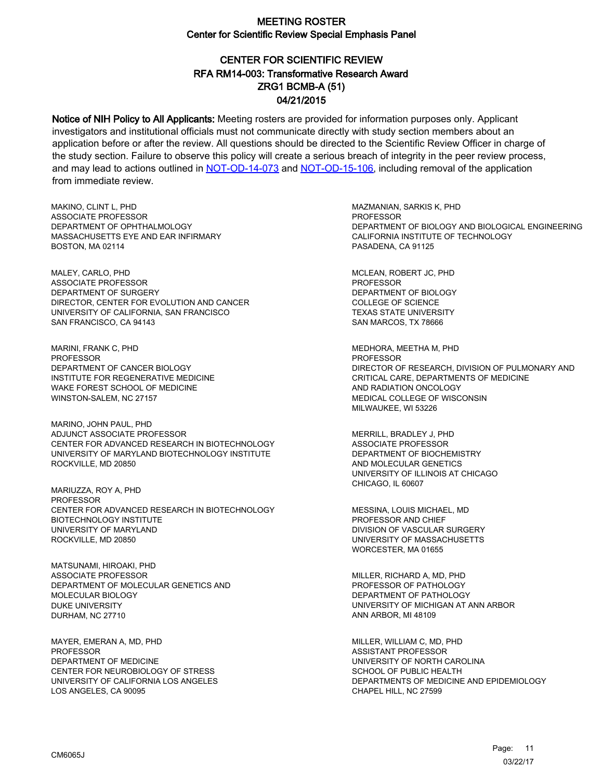# CENTER FOR SCIENTIFIC REVIEW ZRG1 BCMB-A (51) 04/21/2015 RFA RM14-003: Transformative Research Award

Notice of NIH Policy to All Applicants: Meeting rosters are provided for information purposes only. Applicant investigators and institutional officials must not communicate directly with study section members about an application before or after the review. All questions should be directed to the Scientific Review Officer in charge of the study section. Failure to observe this policy will create a serious breach of integrity in the peer review process, and may lead to actions outlined in [NOT-OD-14-073](https://grants.nih.gov/grants/guide/notice-files/NOT-OD-14-073.html) and [NOT-OD-15-106,](https://grants.nih.gov/grants/guide/notice-files/NOT-OD-15-106.html) including removal of the application from immediate review.

MAKINO, CLINT L, PHD ASSOCIATE PROFESSOR DEPARTMENT OF OPHTHALMOLOGY MASSACHUSETTS EYE AND EAR INFIRMARY BOSTON, MA 02114

MALEY, CARLO, PHD ASSOCIATE PROFESSOR DEPARTMENT OF SURGERY DIRECTOR, CENTER FOR EVOLUTION AND CANCER UNIVERSITY OF CALIFORNIA, SAN FRANCISCO SAN FRANCISCO, CA 94143

MARINI, FRANK C, PHD PROFESSOR DEPARTMENT OF CANCER BIOLOGY INSTITUTE FOR REGENERATIVE MEDICINE WAKE FOREST SCHOOL OF MEDICINE WINSTON-SALEM, NC 27157

MARINO, JOHN PAUL, PHD ADJUNCT ASSOCIATE PROFESSOR CENTER FOR ADVANCED RESEARCH IN BIOTECHNOLOGY UNIVERSITY OF MARYLAND BIOTECHNOLOGY INSTITUTE ROCKVILLE, MD 20850

MARIUZZA, ROY A, PHD PROFESSOR CENTER FOR ADVANCED RESEARCH IN BIOTECHNOLOGY BIOTECHNOLOGY INSTITUTE UNIVERSITY OF MARYLAND ROCKVILLE, MD 20850

MATSUNAMI, HIROAKI, PHD ASSOCIATE PROFESSOR DEPARTMENT OF MOLECULAR GENETICS AND MOLECULAR BIOLOGY DUKE UNIVERSITY DURHAM, NC 27710

MAYER, EMERAN A, MD, PHD PROFESSOR DEPARTMENT OF MEDICINE CENTER FOR NEUROBIOLOGY OF STRESS UNIVERSITY OF CALIFORNIA LOS ANGELES LOS ANGELES, CA 90095

MAZMANIAN, SARKIS K, PHD **PROFESSOR** DEPARTMENT OF BIOLOGY AND BIOLOGICAL ENGINEERING CALIFORNIA INSTITUTE OF TECHNOLOGY PASADENA, CA 91125

MCLEAN, ROBERT JC, PHD PROFESSOR DEPARTMENT OF BIOLOGY COLLEGE OF SCIENCE TEXAS STATE UNIVERSITY SAN MARCOS, TX 78666

MEDHORA, MEETHA M, PHD PROFESSOR DIRECTOR OF RESEARCH, DIVISION OF PULMONARY AND CRITICAL CARE, DEPARTMENTS OF MEDICINE AND RADIATION ONCOLOGY MEDICAL COLLEGE OF WISCONSIN MILWAUKEE, WI 53226

MERRILL, BRADLEY J, PHD ASSOCIATE PROFESSOR DEPARTMENT OF BIOCHEMISTRY AND MOLECULAR GENETICS UNIVERSITY OF ILLINOIS AT CHICAGO CHICAGO, IL 60607

MESSINA, LOUIS MICHAEL, MD PROFESSOR AND CHIEF DIVISION OF VASCULAR SURGERY UNIVERSITY OF MASSACHUSETTS WORCESTER, MA 01655

MILLER, RICHARD A, MD, PHD PROFESSOR OF PATHOLOGY DEPARTMENT OF PATHOLOGY UNIVERSITY OF MICHIGAN AT ANN ARBOR ANN ARBOR, MI 48109

MILLER, WILLIAM C, MD, PHD ASSISTANT PROFESSOR UNIVERSITY OF NORTH CAROLINA SCHOOL OF PUBLIC HEALTH DEPARTMENTS OF MEDICINE AND EPIDEMIOLOGY CHAPEL HILL, NC 27599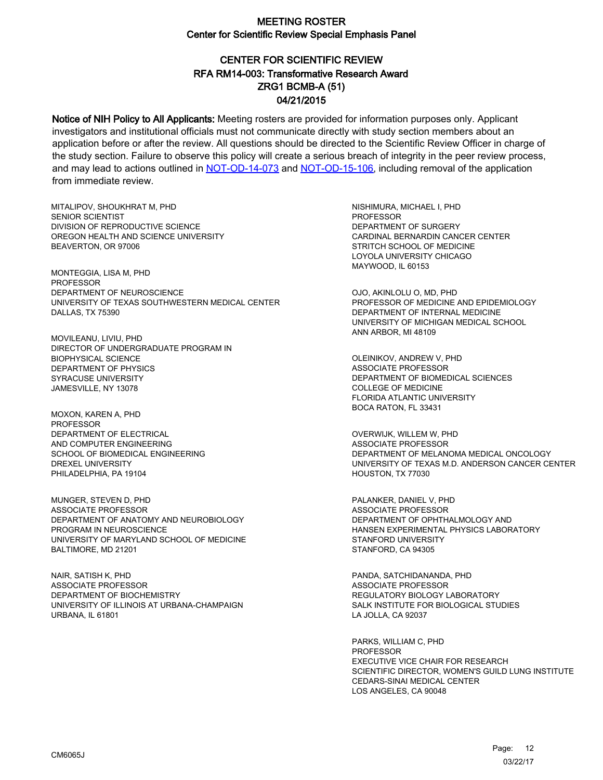# CENTER FOR SCIENTIFIC REVIEW ZRG1 BCMB-A (51) 04/21/2015 RFA RM14-003: Transformative Research Award

Notice of NIH Policy to All Applicants: Meeting rosters are provided for information purposes only. Applicant investigators and institutional officials must not communicate directly with study section members about an application before or after the review. All questions should be directed to the Scientific Review Officer in charge of the study section. Failure to observe this policy will create a serious breach of integrity in the peer review process, and may lead to actions outlined in [NOT-OD-14-073](https://grants.nih.gov/grants/guide/notice-files/NOT-OD-14-073.html) and [NOT-OD-15-106,](https://grants.nih.gov/grants/guide/notice-files/NOT-OD-15-106.html) including removal of the application from immediate review.

MITALIPOV, SHOUKHRAT M, PHD SENIOR SCIENTIST DIVISION OF REPRODUCTIVE SCIENCE OREGON HEALTH AND SCIENCE UNIVERSITY BEAVERTON, OR 97006

MONTEGGIA, LISA M, PHD PROFESSOR DEPARTMENT OF NEUROSCIENCE UNIVERSITY OF TEXAS SOUTHWESTERN MEDICAL CENTER DALLAS, TX 75390

MOVILEANU, LIVIU, PHD DIRECTOR OF UNDERGRADUATE PROGRAM IN BIOPHYSICAL SCIENCE DEPARTMENT OF PHYSICS SYRACUSE UNIVERSITY JAMESVILLE, NY 13078

MOXON, KAREN A, PHD PROFESSOR DEPARTMENT OF ELECTRICAL AND COMPUTER ENGINEERING SCHOOL OF BIOMEDICAL ENGINEERING DREXEL UNIVERSITY PHILADELPHIA, PA 19104

MUNGER, STEVEN D, PHD ASSOCIATE PROFESSOR DEPARTMENT OF ANATOMY AND NEUROBIOLOGY PROGRAM IN NEUROSCIENCE UNIVERSITY OF MARYLAND SCHOOL OF MEDICINE BALTIMORE, MD 21201

NAIR, SATISH K, PHD ASSOCIATE PROFESSOR DEPARTMENT OF BIOCHEMISTRY UNIVERSITY OF ILLINOIS AT URBANA-CHAMPAIGN URBANA, IL 61801

NISHIMURA, MICHAEL I, PHD PROFESSOR DEPARTMENT OF SURGERY CARDINAL BERNARDIN CANCER CENTER STRITCH SCHOOL OF MEDICINE LOYOLA UNIVERSITY CHICAGO MAYWOOD, IL 60153

OJO, AKINLOLU O, MD, PHD PROFESSOR OF MEDICINE AND EPIDEMIOLOGY DEPARTMENT OF INTERNAL MEDICINE UNIVERSITY OF MICHIGAN MEDICAL SCHOOL ANN ARBOR, MI 48109

OLEINIKOV, ANDREW V, PHD ASSOCIATE PROFESSOR DEPARTMENT OF BIOMEDICAL SCIENCES COLLEGE OF MEDICINE FLORIDA ATLANTIC UNIVERSITY BOCA RATON, FL 33431

OVERWIJK, WILLEM W, PHD ASSOCIATE PROFESSOR DEPARTMENT OF MELANOMA MEDICAL ONCOLOGY UNIVERSITY OF TEXAS M.D. ANDERSON CANCER CENTER HOUSTON, TX 77030

PALANKER, DANIEL V, PHD ASSOCIATE PROFESSOR DEPARTMENT OF OPHTHALMOLOGY AND HANSEN EXPERIMENTAL PHYSICS LABORATORY STANFORD UNIVERSITY STANFORD, CA 94305

PANDA, SATCHIDANANDA, PHD ASSOCIATE PROFESSOR REGULATORY BIOLOGY LABORATORY SALK INSTITUTE FOR BIOLOGICAL STUDIES LA JOLLA, CA 92037

PARKS, WILLIAM C, PHD PROFESSOR EXECUTIVE VICE CHAIR FOR RESEARCH SCIENTIFIC DIRECTOR, WOMEN'S GUILD LUNG INSTITUTE CEDARS-SINAI MEDICAL CENTER LOS ANGELES, CA 90048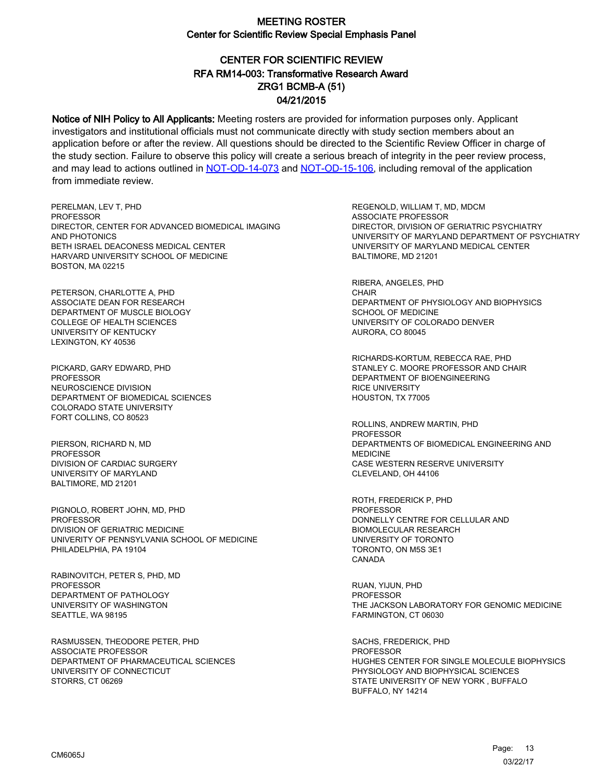# CENTER FOR SCIENTIFIC REVIEW ZRG1 BCMB-A (51) 04/21/2015 RFA RM14-003: Transformative Research Award

Notice of NIH Policy to All Applicants: Meeting rosters are provided for information purposes only. Applicant investigators and institutional officials must not communicate directly with study section members about an application before or after the review. All questions should be directed to the Scientific Review Officer in charge of the study section. Failure to observe this policy will create a serious breach of integrity in the peer review process, and may lead to actions outlined in [NOT-OD-14-073](https://grants.nih.gov/grants/guide/notice-files/NOT-OD-14-073.html) and [NOT-OD-15-106,](https://grants.nih.gov/grants/guide/notice-files/NOT-OD-15-106.html) including removal of the application from immediate review.

PERELMAN, LEV T, PHD **PROFESSOR** DIRECTOR, CENTER FOR ADVANCED BIOMEDICAL IMAGING AND PHOTONICS BETH ISRAEL DEACONESS MEDICAL CENTER HARVARD UNIVERSITY SCHOOL OF MEDICINE BOSTON, MA 02215

PETERSON, CHARLOTTE A, PHD ASSOCIATE DEAN FOR RESEARCH DEPARTMENT OF MUSCLE BIOLOGY COLLEGE OF HEALTH SCIENCES UNIVERSITY OF KENTUCKY LEXINGTON, KY 40536

PICKARD, GARY EDWARD, PHD **PROFESSOR** NEUROSCIENCE DIVISION DEPARTMENT OF BIOMEDICAL SCIENCES COLORADO STATE UNIVERSITY FORT COLLINS, CO 80523

PIERSON, RICHARD N, MD PROFESSOR DIVISION OF CARDIAC SURGERY UNIVERSITY OF MARYLAND BALTIMORE, MD 21201

PIGNOLO, ROBERT JOHN, MD, PHD PROFESSOR DIVISION OF GERIATRIC MEDICINE UNIVERITY OF PENNSYLVANIA SCHOOL OF MEDICINE PHILADELPHIA, PA 19104

RABINOVITCH, PETER S, PHD, MD PROFESSOR DEPARTMENT OF PATHOLOGY UNIVERSITY OF WASHINGTON SEATTLE, WA 98195

RASMUSSEN, THEODORE PETER, PHD ASSOCIATE PROFESSOR DEPARTMENT OF PHARMACEUTICAL SCIENCES UNIVERSITY OF CONNECTICUT STORRS, CT 06269

REGENOLD, WILLIAM T, MD, MDCM ASSOCIATE PROFESSOR DIRECTOR, DIVISION OF GERIATRIC PSYCHIATRY UNIVERSITY OF MARYLAND DEPARTMENT OF PSYCHIATRY UNIVERSITY OF MARYLAND MEDICAL CENTER BALTIMORE, MD 21201

RIBERA, ANGELES, PHD **CHAIR** DEPARTMENT OF PHYSIOLOGY AND BIOPHYSICS SCHOOL OF MEDICINE UNIVERSITY OF COLORADO DENVER AURORA, CO 80045

RICHARDS-KORTUM, REBECCA RAE, PHD STANLEY C. MOORE PROFESSOR AND CHAIR DEPARTMENT OF BIOENGINEERING RICE UNIVERSITY HOUSTON, TX 77005

ROLLINS, ANDREW MARTIN, PHD PROFESSOR DEPARTMENTS OF BIOMEDICAL ENGINEERING AND MEDICINE CASE WESTERN RESERVE UNIVERSITY CLEVELAND, OH 44106

ROTH, FREDERICK P, PHD PROFESSOR DONNELLY CENTRE FOR CELLULAR AND BIOMOLECULAR RESEARCH UNIVERSITY OF TORONTO TORONTO, ON M5S 3E1 CANADA

RUAN, YIJUN, PHD **PROFESSOR** THE JACKSON LABORATORY FOR GENOMIC MEDICINE FARMINGTON, CT 06030

SACHS, FREDERICK, PHD PROFESSOR HUGHES CENTER FOR SINGLE MOLECULE BIOPHYSICS PHYSIOLOGY AND BIOPHYSICAL SCIENCES STATE UNIVERSITY OF NEW YORK , BUFFALO BUFFALO, NY 14214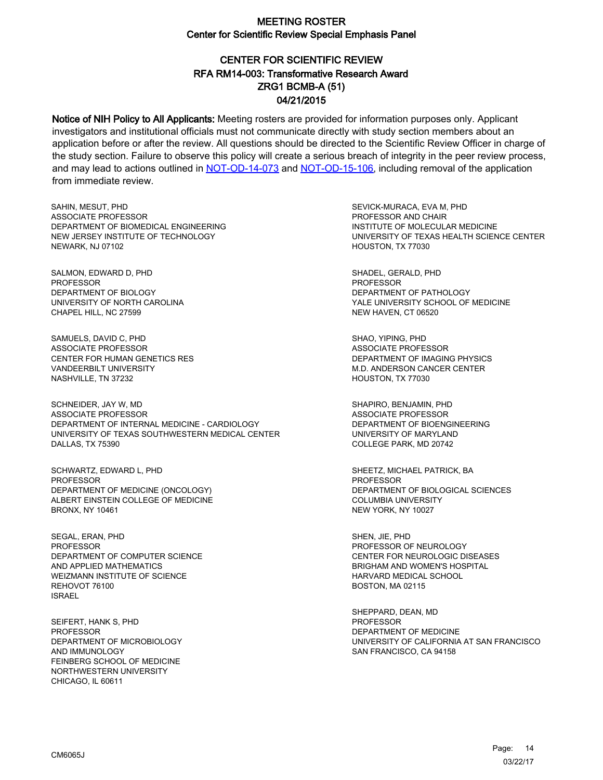# CENTER FOR SCIENTIFIC REVIEW ZRG1 BCMB-A (51) 04/21/2015 RFA RM14-003: Transformative Research Award

Notice of NIH Policy to All Applicants: Meeting rosters are provided for information purposes only. Applicant investigators and institutional officials must not communicate directly with study section members about an application before or after the review. All questions should be directed to the Scientific Review Officer in charge of the study section. Failure to observe this policy will create a serious breach of integrity in the peer review process, and may lead to actions outlined in [NOT-OD-14-073](https://grants.nih.gov/grants/guide/notice-files/NOT-OD-14-073.html) and [NOT-OD-15-106,](https://grants.nih.gov/grants/guide/notice-files/NOT-OD-15-106.html) including removal of the application from immediate review.

SAHIN, MESUT, PHD ASSOCIATE PROFESSOR DEPARTMENT OF BIOMEDICAL ENGINEERING NEW JERSEY INSTITUTE OF TECHNOLOGY NEWARK, NJ 07102

SALMON, EDWARD D, PHD PROFESSOR DEPARTMENT OF BIOLOGY UNIVERSITY OF NORTH CAROLINA CHAPEL HILL, NC 27599

SAMUELS, DAVID C, PHD ASSOCIATE PROFESSOR CENTER FOR HUMAN GENETICS RES VANDEERBILT UNIVERSITY NASHVILLE, TN 37232

SCHNEIDER, JAY W, MD ASSOCIATE PROFESSOR DEPARTMENT OF INTERNAL MEDICINE - CARDIOLOGY UNIVERSITY OF TEXAS SOUTHWESTERN MEDICAL CENTER DALLAS, TX 75390

SCHWARTZ, EDWARD L, PHD PROFESSOR DEPARTMENT OF MEDICINE (ONCOLOGY) ALBERT EINSTEIN COLLEGE OF MEDICINE BRONX, NY 10461

SEGAL, ERAN, PHD PROFESSOR DEPARTMENT OF COMPUTER SCIENCE AND APPLIED MATHEMATICS WEIZMANN INSTITUTE OF SCIENCE REHOVOT 76100 ISRAEL

SEIFERT, HANK S, PHD **PROFESSOR** DEPARTMENT OF MICROBIOLOGY AND IMMUNOLOGY FEINBERG SCHOOL OF MEDICINE NORTHWESTERN UNIVERSITY CHICAGO, IL 60611

SEVICK-MURACA, EVA M, PHD PROFESSOR AND CHAIR INSTITUTE OF MOLECULAR MEDICINE UNIVERSITY OF TEXAS HEALTH SCIENCE CENTER HOUSTON, TX 77030

SHADEL, GERALD, PHD PROFESSOR DEPARTMENT OF PATHOLOGY YALE UNIVERSITY SCHOOL OF MEDICINE NEW HAVEN, CT 06520

SHAO, YIPING, PHD ASSOCIATE PROFESSOR DEPARTMENT OF IMAGING PHYSICS M.D. ANDERSON CANCER CENTER HOUSTON, TX 77030

SHAPIRO, BENJAMIN, PHD ASSOCIATE PROFESSOR DEPARTMENT OF BIOENGINEERING UNIVERSITY OF MARYLAND COLLEGE PARK, MD 20742

SHEETZ, MICHAEL PATRICK, BA PROFESSOR DEPARTMENT OF BIOLOGICAL SCIENCES COLUMBIA UNIVERSITY NEW YORK, NY 10027

SHEN, JIE, PHD PROFESSOR OF NEUROLOGY CENTER FOR NEUROLOGIC DISEASES BRIGHAM AND WOMEN'S HOSPITAL HARVARD MEDICAL SCHOOL BOSTON, MA 02115

SHEPPARD, DEAN, MD PROFESSOR DEPARTMENT OF MEDICINE UNIVERSITY OF CALIFORNIA AT SAN FRANCISCO SAN FRANCISCO, CA 94158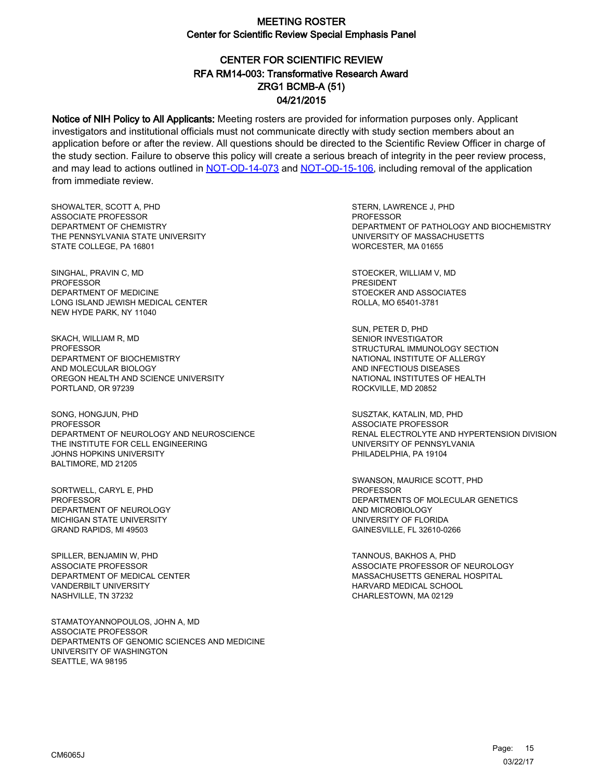# CENTER FOR SCIENTIFIC REVIEW ZRG1 BCMB-A (51) 04/21/2015 RFA RM14-003: Transformative Research Award

Notice of NIH Policy to All Applicants: Meeting rosters are provided for information purposes only. Applicant investigators and institutional officials must not communicate directly with study section members about an application before or after the review. All questions should be directed to the Scientific Review Officer in charge of the study section. Failure to observe this policy will create a serious breach of integrity in the peer review process, and may lead to actions outlined in [NOT-OD-14-073](https://grants.nih.gov/grants/guide/notice-files/NOT-OD-14-073.html) and [NOT-OD-15-106,](https://grants.nih.gov/grants/guide/notice-files/NOT-OD-15-106.html) including removal of the application from immediate review.

SHOWALTER, SCOTT A, PHD ASSOCIATE PROFESSOR DEPARTMENT OF CHEMISTRY THE PENNSYLVANIA STATE UNIVERSITY STATE COLLEGE, PA 16801

SINGHAL, PRAVIN C, MD PROFESSOR DEPARTMENT OF MEDICINE LONG ISLAND JEWISH MEDICAL CENTER NEW HYDE PARK, NY 11040

SKACH, WILLIAM R, MD PROFESSOR DEPARTMENT OF BIOCHEMISTRY AND MOLECULAR BIOLOGY OREGON HEALTH AND SCIENCE UNIVERSITY PORTLAND, OR 97239

SONG, HONGJUN, PHD PROFESSOR DEPARTMENT OF NEUROLOGY AND NEUROSCIENCE THE INSTITUTE FOR CELL ENGINEERING JOHNS HOPKINS UNIVERSITY BALTIMORE, MD 21205

SORTWELL, CARYL E, PHD PROFESSOR DEPARTMENT OF NEUROLOGY MICHIGAN STATE UNIVERSITY GRAND RAPIDS, MI 49503

SPILLER, BENJAMIN W, PHD ASSOCIATE PROFESSOR DEPARTMENT OF MEDICAL CENTER VANDERBILT UNIVERSITY NASHVILLE, TN 37232

STAMATOYANNOPOULOS, JOHN A, MD ASSOCIATE PROFESSOR DEPARTMENTS OF GENOMIC SCIENCES AND MEDICINE UNIVERSITY OF WASHINGTON SEATTLE, WA 98195

STERN, LAWRENCE J, PHD PROFESSOR DEPARTMENT OF PATHOLOGY AND BIOCHEMISTRY UNIVERSITY OF MASSACHUSETTS WORCESTER, MA 01655

STOECKER, WILLIAM V, MD PRESIDENT STOECKER AND ASSOCIATES ROLLA, MO 65401-3781

SUN, PETER D, PHD SENIOR INVESTIGATOR STRUCTURAL IMMUNOLOGY SECTION NATIONAL INSTITUTE OF ALLERGY AND INFECTIOUS DISEASES NATIONAL INSTITUTES OF HEALTH ROCKVILLE, MD 20852

SUSZTAK, KATALIN, MD, PHD ASSOCIATE PROFESSOR RENAL ELECTROLYTE AND HYPERTENSION DIVISION UNIVERSITY OF PENNSYLVANIA PHILADELPHIA, PA 19104

SWANSON, MAURICE SCOTT, PHD PROFESSOR DEPARTMENTS OF MOLECULAR GENETICS AND MICROBIOLOGY UNIVERSITY OF FLORIDA GAINESVILLE, FL 32610-0266

TANNOUS, BAKHOS A, PHD ASSOCIATE PROFESSOR OF NEUROLOGY MASSACHUSETTS GENERAL HOSPITAL HARVARD MEDICAL SCHOOL CHARLESTOWN, MA 02129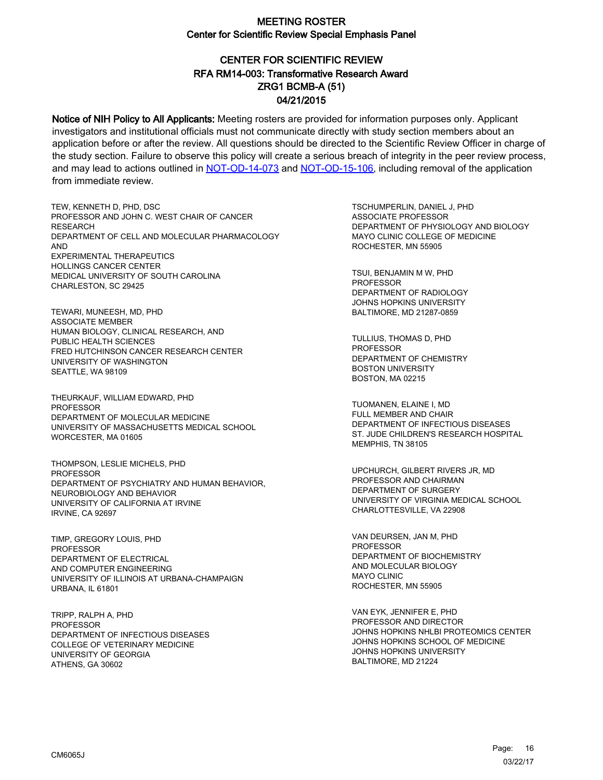# CENTER FOR SCIENTIFIC REVIEW ZRG1 BCMB-A (51) 04/21/2015 RFA RM14-003: Transformative Research Award

Notice of NIH Policy to All Applicants: Meeting rosters are provided for information purposes only. Applicant investigators and institutional officials must not communicate directly with study section members about an application before or after the review. All questions should be directed to the Scientific Review Officer in charge of the study section. Failure to observe this policy will create a serious breach of integrity in the peer review process, and may lead to actions outlined in [NOT-OD-14-073](https://grants.nih.gov/grants/guide/notice-files/NOT-OD-14-073.html) and [NOT-OD-15-106,](https://grants.nih.gov/grants/guide/notice-files/NOT-OD-15-106.html) including removal of the application from immediate review.

TEW, KENNETH D, PHD, DSC PROFESSOR AND JOHN C. WEST CHAIR OF CANCER **RESEARCH** DEPARTMENT OF CELL AND MOLECULAR PHARMACOLOGY AND EXPERIMENTAL THERAPEUTICS HOLLINGS CANCER CENTER MEDICAL UNIVERSITY OF SOUTH CAROLINA CHARLESTON, SC 29425

TEWARI, MUNEESH, MD, PHD ASSOCIATE MEMBER HUMAN BIOLOGY, CLINICAL RESEARCH, AND PUBLIC HEALTH SCIENCES FRED HUTCHINSON CANCER RESEARCH CENTER UNIVERSITY OF WASHINGTON SEATTLE, WA 98109

THEURKAUF, WILLIAM EDWARD, PHD PROFESSOR DEPARTMENT OF MOLECULAR MEDICINE UNIVERSITY OF MASSACHUSETTS MEDICAL SCHOOL WORCESTER, MA 01605

THOMPSON, LESLIE MICHELS, PHD **PROFESSOR** DEPARTMENT OF PSYCHIATRY AND HUMAN BEHAVIOR, NEUROBIOLOGY AND BEHAVIOR UNIVERSITY OF CALIFORNIA AT IRVINE IRVINE, CA 92697

TIMP, GREGORY LOUIS, PHD PROFESSOR DEPARTMENT OF ELECTRICAL AND COMPUTER ENGINEERING UNIVERSITY OF ILLINOIS AT URBANA-CHAMPAIGN URBANA, IL 61801

TRIPP, RALPH A, PHD **PROFESSOR** DEPARTMENT OF INFECTIOUS DISEASES COLLEGE OF VETERINARY MEDICINE UNIVERSITY OF GEORGIA ATHENS, GA 30602

TSCHUMPERLIN, DANIEL J, PHD ASSOCIATE PROFESSOR DEPARTMENT OF PHYSIOLOGY AND BIOLOGY MAYO CLINIC COLLEGE OF MEDICINE ROCHESTER, MN 55905

TSUI, BENJAMIN M W, PHD PROFESSOR DEPARTMENT OF RADIOLOGY JOHNS HOPKINS UNIVERSITY BALTIMORE, MD 21287-0859

TULLIUS, THOMAS D, PHD **PROFESSOR** DEPARTMENT OF CHEMISTRY BOSTON UNIVERSITY BOSTON, MA 02215

TUOMANEN, ELAINE I, MD FULL MEMBER AND CHAIR DEPARTMENT OF INFECTIOUS DISEASES ST. JUDE CHILDREN'S RESEARCH HOSPITAL MEMPHIS, TN 38105

UPCHURCH, GILBERT RIVERS JR, MD PROFESSOR AND CHAIRMAN DEPARTMENT OF SURGERY UNIVERSITY OF VIRGINIA MEDICAL SCHOOL CHARLOTTESVILLE, VA 22908

VAN DEURSEN, JAN M, PHD PROFESSOR DEPARTMENT OF BIOCHEMISTRY AND MOLECULAR BIOLOGY MAYO CLINIC ROCHESTER, MN 55905

VAN EYK, JENNIFER E, PHD PROFESSOR AND DIRECTOR JOHNS HOPKINS NHLBI PROTEOMICS CENTER JOHNS HOPKINS SCHOOL OF MEDICINE JOHNS HOPKINS UNIVERSITY BALTIMORE, MD 21224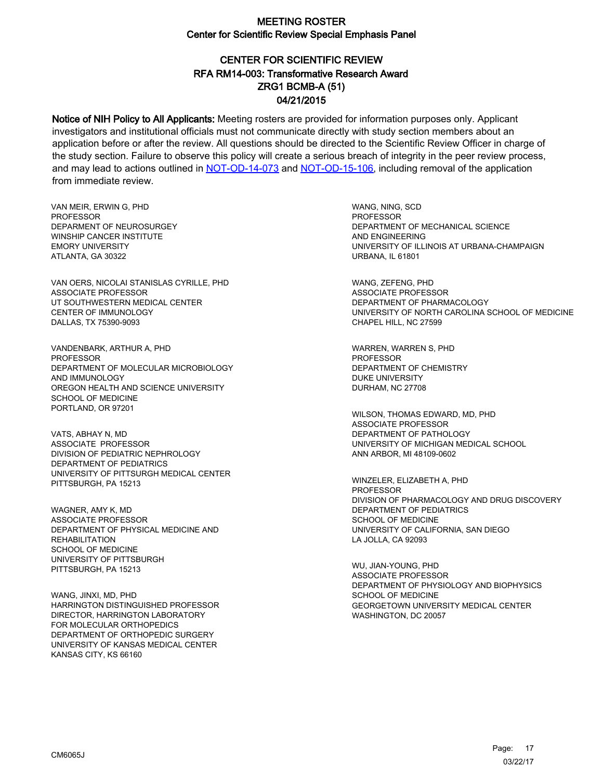# CENTER FOR SCIENTIFIC REVIEW ZRG1 BCMB-A (51) 04/21/2015 RFA RM14-003: Transformative Research Award

Notice of NIH Policy to All Applicants: Meeting rosters are provided for information purposes only. Applicant investigators and institutional officials must not communicate directly with study section members about an application before or after the review. All questions should be directed to the Scientific Review Officer in charge of the study section. Failure to observe this policy will create a serious breach of integrity in the peer review process, and may lead to actions outlined in [NOT-OD-14-073](https://grants.nih.gov/grants/guide/notice-files/NOT-OD-14-073.html) and [NOT-OD-15-106,](https://grants.nih.gov/grants/guide/notice-files/NOT-OD-15-106.html) including removal of the application from immediate review.

VAN MEIR, ERWIN G, PHD **PROFESSOR** DEPARMENT OF NEUROSURGEY WINSHIP CANCER INSTITUTE EMORY UNIVERSITY ATLANTA, GA 30322

VAN OERS, NICOLAI STANISLAS CYRILLE, PHD ASSOCIATE PROFESSOR UT SOUTHWESTERN MEDICAL CENTER CENTER OF IMMUNOLOGY DALLAS, TX 75390-9093

VANDENBARK, ARTHUR A, PHD PROFESSOR DEPARTMENT OF MOLECULAR MICROBIOLOGY AND IMMUNOLOGY OREGON HEALTH AND SCIENCE UNIVERSITY SCHOOL OF MEDICINE PORTLAND, OR 97201

VATS, ABHAY N, MD ASSOCIATE PROFESSOR DIVISION OF PEDIATRIC NEPHROLOGY DEPARTMENT OF PEDIATRICS UNIVERSITY OF PITTSURGH MEDICAL CENTER PITTSBURGH, PA 15213

WAGNER, AMY K, MD ASSOCIATE PROFESSOR DEPARTMENT OF PHYSICAL MEDICINE AND **REHABILITATION** SCHOOL OF MEDICINE UNIVERSITY OF PITTSBURGH PITTSBURGH, PA 15213

WANG, JINXI, MD, PHD HARRINGTON DISTINGUISHED PROFESSOR DIRECTOR, HARRINGTON LABORATORY FOR MOLECULAR ORTHOPEDICS DEPARTMENT OF ORTHOPEDIC SURGERY UNIVERSITY OF KANSAS MEDICAL CENTER KANSAS CITY, KS 66160

WANG, NING, SCD PROFESSOR DEPARTMENT OF MECHANICAL SCIENCE AND ENGINEERING UNIVERSITY OF ILLINOIS AT URBANA-CHAMPAIGN URBANA, IL 61801

WANG, ZEFENG, PHD ASSOCIATE PROFESSOR DEPARTMENT OF PHARMACOLOGY UNIVERSITY OF NORTH CAROLINA SCHOOL OF MEDICINE CHAPEL HILL, NC 27599

WARREN, WARREN S, PHD PROFESSOR DEPARTMENT OF CHEMISTRY DUKE UNIVERSITY DURHAM, NC 27708

WILSON, THOMAS EDWARD, MD, PHD ASSOCIATE PROFESSOR DEPARTMENT OF PATHOLOGY UNIVERSITY OF MICHIGAN MEDICAL SCHOOL ANN ARBOR, MI 48109-0602

WINZELER, ELIZABETH A, PHD PROFESSOR DIVISION OF PHARMACOLOGY AND DRUG DISCOVERY DEPARTMENT OF PEDIATRICS SCHOOL OF MEDICINE UNIVERSITY OF CALIFORNIA, SAN DIEGO LA JOLLA, CA 92093

WU, JIAN-YOUNG, PHD ASSOCIATE PROFESSOR DEPARTMENT OF PHYSIOLOGY AND BIOPHYSICS SCHOOL OF MEDICINE GEORGETOWN UNIVERSITY MEDICAL CENTER WASHINGTON, DC 20057